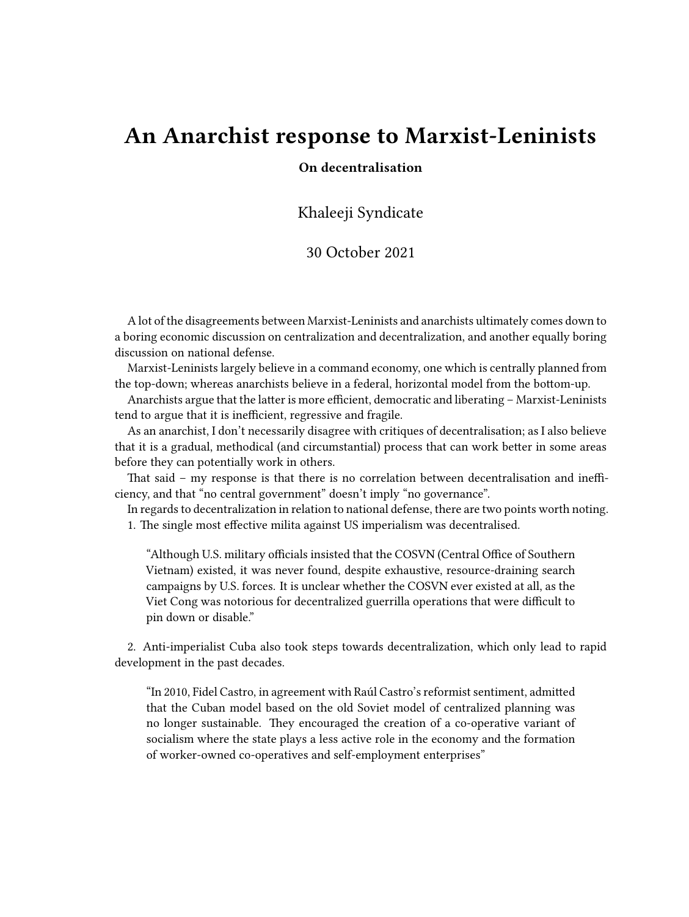## **An Anarchist response to Marxist-Leninists**

## **On decentralisation**

Khaleeji Syndicate

## 30 October 2021

A lot of the disagreements between Marxist-Leninists and anarchists ultimately comes down to a boring economic discussion on centralization and decentralization, and another equally boring discussion on national defense.

Marxist-Leninists largely believe in a command economy, one which is centrally planned from the top-down; whereas anarchists believe in a federal, horizontal model from the bottom-up.

Anarchists argue that the latter is more efficient, democratic and liberating – Marxist-Leninists tend to argue that it is inefficient, regressive and fragile.

As an anarchist, I don't necessarily disagree with critiques of decentralisation; as I also believe that it is a gradual, methodical (and circumstantial) process that can work better in some areas before they can potentially work in others.

That said – my response is that there is no correlation between decentralisation and inefficiency, and that "no central government" doesn't imply "no governance".

In regards to decentralization in relation to national defense, there are two points worth noting.

1. The single most effective milita against US imperialism was decentralised.

"Although U.S. military officials insisted that the COSVN (Central Office of Southern Vietnam) existed, it was never found, despite exhaustive, resource-draining search campaigns by U.S. forces. It is unclear whether the COSVN ever existed at all, as the Viet Cong was notorious for decentralized guerrilla operations that were difficult to pin down or disable."

2. Anti-imperialist Cuba also took steps towards decentralization, which only lead to rapid development in the past decades.

"In 2010, Fidel Castro, in agreement with Raúl Castro's reformist sentiment, admitted that the Cuban model based on the old Soviet model of centralized planning was no longer sustainable. They encouraged the creation of a co-operative variant of socialism where the state plays a less active role in the economy and the formation of worker-owned co-operatives and self-employment enterprises"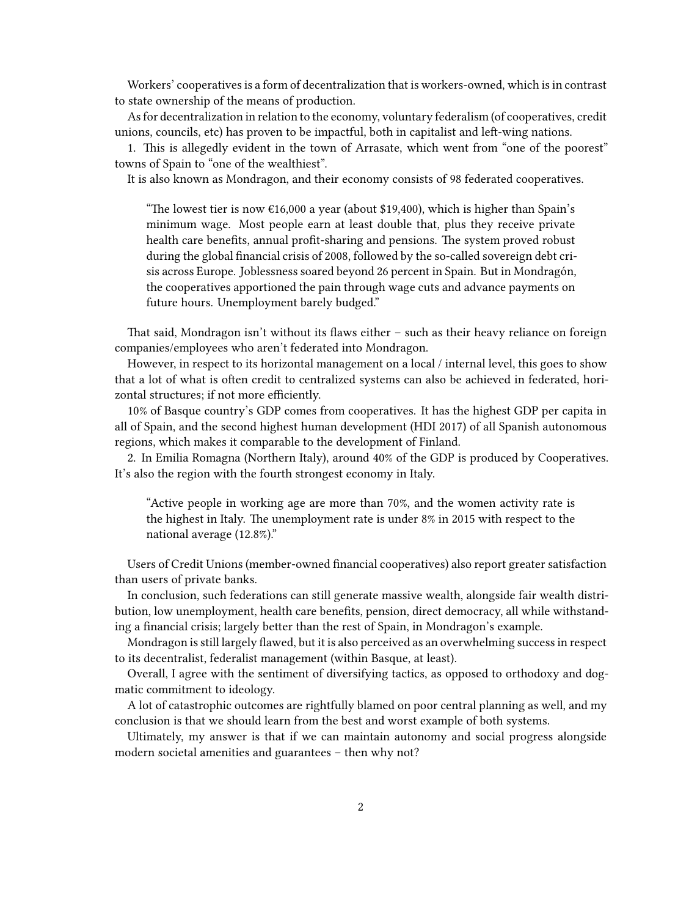Workers' cooperatives is a form of decentralization that is workers-owned, which is in contrast to state ownership of the means of production.

As for decentralization in relation to the economy, voluntary federalism (of cooperatives, credit unions, councils, etc) has proven to be impactful, both in capitalist and left-wing nations.

1. This is allegedly evident in the town of Arrasate, which went from "one of the poorest" towns of Spain to "one of the wealthiest".

It is also known as Mondragon, and their economy consists of 98 federated cooperatives.

"The lowest tier is now  $\epsilon$ 16,000 a year (about \$19,400), which is higher than Spain's minimum wage. Most people earn at least double that, plus they receive private health care benefits, annual profit-sharing and pensions. The system proved robust during the global financial crisis of 2008, followed by the so-called sovereign debt crisis across Europe. Joblessness soared beyond 26 percent in Spain. But in Mondragón, the cooperatives apportioned the pain through wage cuts and advance payments on future hours. Unemployment barely budged."

That said, Mondragon isn't without its flaws either – such as their heavy reliance on foreign companies/employees who aren't federated into Mondragon.

However, in respect to its horizontal management on a local / internal level, this goes to show that a lot of what is often credit to centralized systems can also be achieved in federated, horizontal structures; if not more efficiently.

10% of Basque country's GDP comes from cooperatives. It has the highest GDP per capita in all of Spain, and the second highest human development (HDI 2017) of all Spanish autonomous regions, which makes it comparable to the development of Finland.

2. In Emilia Romagna (Northern Italy), around 40% of the GDP is produced by Cooperatives. It's also the region with the fourth strongest economy in Italy.

"Active people in working age are more than 70%, and the women activity rate is the highest in Italy. The unemployment rate is under 8% in 2015 with respect to the national average (12.8%)."

Users of Credit Unions (member-owned financial cooperatives) also report greater satisfaction than users of private banks.

In conclusion, such federations can still generate massive wealth, alongside fair wealth distribution, low unemployment, health care benefits, pension, direct democracy, all while withstanding a financial crisis; largely better than the rest of Spain, in Mondragon's example.

Mondragon is still largely flawed, but it is also perceived as an overwhelming success in respect to its decentralist, federalist management (within Basque, at least).

Overall, I agree with the sentiment of diversifying tactics, as opposed to orthodoxy and dogmatic commitment to ideology.

A lot of catastrophic outcomes are rightfully blamed on poor central planning as well, and my conclusion is that we should learn from the best and worst example of both systems.

Ultimately, my answer is that if we can maintain autonomy and social progress alongside modern societal amenities and guarantees – then why not?